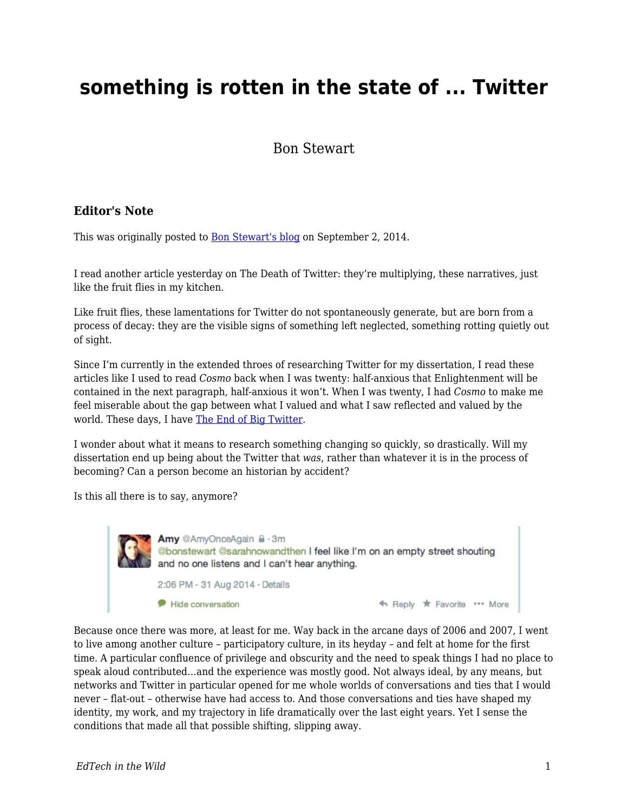# **something is rotten in the state of ... Twitter**

Bon Stewart

#### **Editor's Note**

This was originally posted to **Bon Stewart's blog on September 2, 2014.** 

I read another article yesterday on The Death of Twitter: they're multiplying, these narratives, just like the fruit flies in my kitchen.

Like fruit flies, these lamentations for Twitter do not spontaneously generate, but are born from a process of decay: they are the visible signs of something left neglected, something rotting quietly out of sight.

Since I'm currently in the extended throes of researching Twitter for my dissertation, I read these articles like I used to read *Cosmo* back when I was twenty: half-anxious that Enlightenment will be contained in the next paragraph, half-anxious it won't. When I was twenty, I had *Cosmo* to make me feel miserable about the gap between what I valued and what I saw reflected and valued by the world. These days, I have [The End of Big Twitter](http://text-patterns.thenewatlantis.com/2014/08/the-end-of-big-twitter.html).

I wonder about what it means to research something changing so quickly, so drastically. Will my dissertation end up being about the Twitter that *was*, rather than whatever it is in the process of becoming? Can a person become an historian by accident?

Is this all there is to say, anymore?



Because once there was more, at least for me. Way back in the arcane days of 2006 and 2007, I went to live among another culture – participatory culture, in its heyday – and felt at home for the first time. A particular confluence of privilege and obscurity and the need to speak things I had no place to speak aloud contributed…and the experience was mostly good. Not always ideal, by any means, but networks and Twitter in particular opened for me whole worlds of conversations and ties that I would never – flat-out – otherwise have had access to. And those conversations and ties have shaped my identity, my work, and my trajectory in life dramatically over the last eight years. Yet I sense the conditions that made all that possible shifting, slipping away.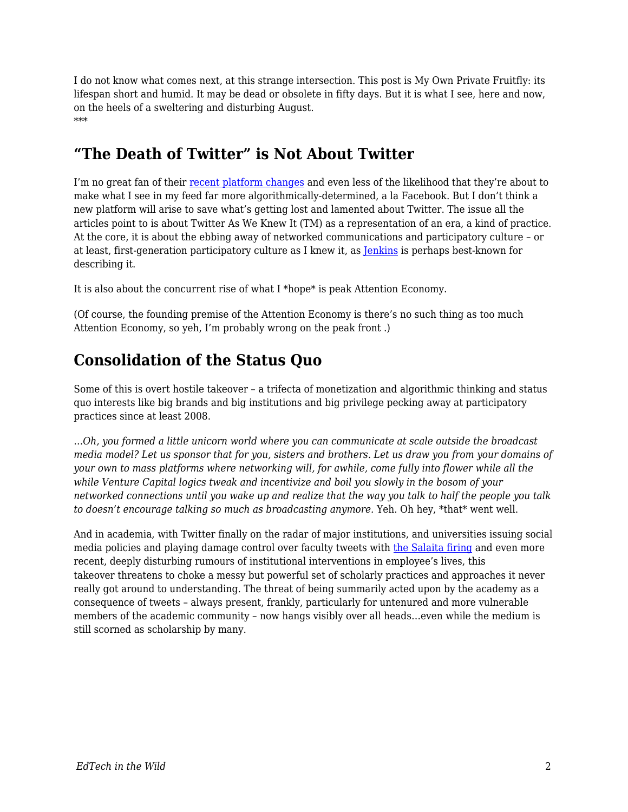I do not know what comes next, at this strange intersection. This post is My Own Private Fruitfly: its lifespan short and humid. It may be dead or obsolete in fifty days. But it is what I see, here and now, on the heels of a sweltering and disturbing August. \*\*\*

### **"The Death of Twitter" is Not About Twitter**

I'm no great fan of their [recent platform changes](http://www.theatlantic.com/technology/archive/2014/08/twitter-starts-to-change-the-central-logic-of-its-service/378650/) and even less of the likelihood that they're about to make what I see in my feed far more algorithmically-determined, a la Facebook. But I don't think a new platform will arise to save what's getting lost and lamented about Twitter. The issue all the articles point to is about Twitter As We Knew It (TM) as a representation of an era, a kind of practice. At the core, it is about the ebbing away of networked communications and participatory culture – or at least, first-generation participatory culture as I knew it, as [Jenkins](https://mitpress.mit.edu/sites/default/files/titles/free_download/9780262513623_Confronting_the_Challenges.pdf) is perhaps best-known for describing it.

It is also about the concurrent rise of what I \*hope\* is peak Attention Economy.

(Of course, the founding premise of the Attention Economy is there's no such thing as too much Attention Economy, so yeh, I'm probably wrong on the peak front .)

#### **Consolidation of the Status Quo**

Some of this is overt hostile takeover – a trifecta of monetization and algorithmic thinking and status quo interests like big brands and big institutions and big privilege pecking away at participatory practices since at least 2008.

…*Oh, you formed a little unicorn world where you can communicate at scale outside the broadcast media model? Let us sponsor that for you, sisters and brothers. Let us draw you from your domains of your own to mass platforms where networking will, for awhile, come fully into flower while all the while Venture Capital logics tweak and incentivize and boil you slowly in the bosom of your networked connections until you wake up and realize that the way you talk to half the people you talk to doesn't encourage talking so much as broadcasting anymore.* Yeh. Oh hey, \*that\* went well.

And in academia, with Twitter finally on the radar of major institutions, and universities issuing social media policies and playing damage control over faculty tweets with [the Salaita firing](http://coreyrobin.com/2014/08/31/salaita-by-the-numbers-5-cancelled-lectures-3-votes-of-no-confidence-3849-boycotters-and-1-nyt-article/) and even more recent, deeply disturbing rumours of institutional interventions in employee's lives, this takeover threatens to choke a messy but powerful set of scholarly practices and approaches it never really got around to understanding. The threat of being summarily acted upon by the academy as a consequence of tweets – always present, frankly, particularly for untenured and more vulnerable members of the academic community – now hangs visibly over all heads…even while the medium is still scorned as scholarship by many.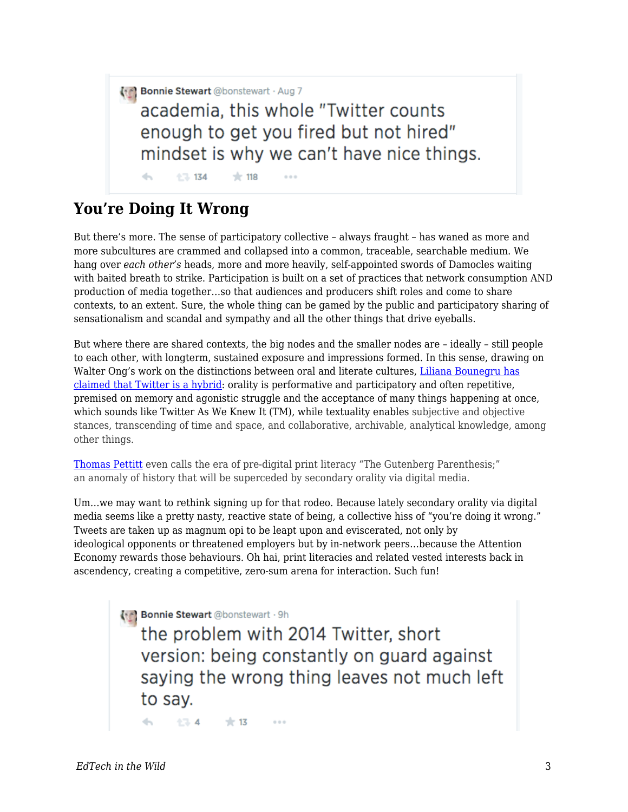(\*c) Bonnie Stewart @bonstewart · Aug 7

academia, this whole "Twitter counts enough to get you fired but not hired" mindset is why we can't have nice things.

 $\left\langle \cdot,\cdot\right\rangle$  $134$  $+118$ 

## **You're Doing It Wrong**

But there's more. The sense of participatory collective – always fraught – has waned as more and more subcultures are crammed and collapsed into a common, traceable, searchable medium. We hang over *each other's* heads, more and more heavily, self-appointed swords of Damocles waiting with baited breath to strike. Participation is built on a set of practices that network consumption AND production of media together…so that audiences and producers shift roles and come to share contexts, to an extent. Sure, the whole thing can be gamed by the public and participatory sharing of sensationalism and scandal and sympathy and all the other things that drive eyeballs.

But where there are shared contexts, the big nodes and the smaller nodes are – ideally – still people to each other, with longterm, sustained exposure and impressions formed. In this sense, drawing on Walter Ong's work on the distinctions between oral and literate cultures, [Liliana Bounegru has](http://lilianabounegru.org/2009/11/20/secondary-orality-in-microblogging/) [claimed that Twitter is a hybrid](http://lilianabounegru.org/2009/11/20/secondary-orality-in-microblogging/): orality is performative and participatory and often repetitive, premised on memory and agonistic struggle and the acceptance of many things happening at once, which sounds like Twitter As We Knew It (TM), while textuality enables subjective and objective stances, transcending of time and space, and collaborative, archivable, analytical knowledge, among other things.

[Thomas Pettitt](http://web.mit.edu/comm-forum/forums/gutenberg_parenthesis.html) even calls the era of pre-digital print literacy "The Gutenberg Parenthesis;" an anomaly of history that will be superceded by secondary orality via digital media.

Um…we may want to rethink signing up for that rodeo. Because lately secondary orality via digital media seems like a pretty nasty, reactive state of being, a collective hiss of "you're doing it wrong." Tweets are taken up as magnum opi to be leapt upon and eviscerated, not only by ideological opponents or threatened employers but by in-network peers…because the Attention Economy rewards those behaviours. Oh hai, print literacies and related vested interests back in ascendency, creating a competitive, zero-sum arena for interaction. Such fun!

**(\*\*) Bonnie Stewart** @bonstewart · 9h

the problem with 2014 Twitter, short version: being constantly on guard against saying the wrong thing leaves not much left to say.

174  $+13$  $0.0.0$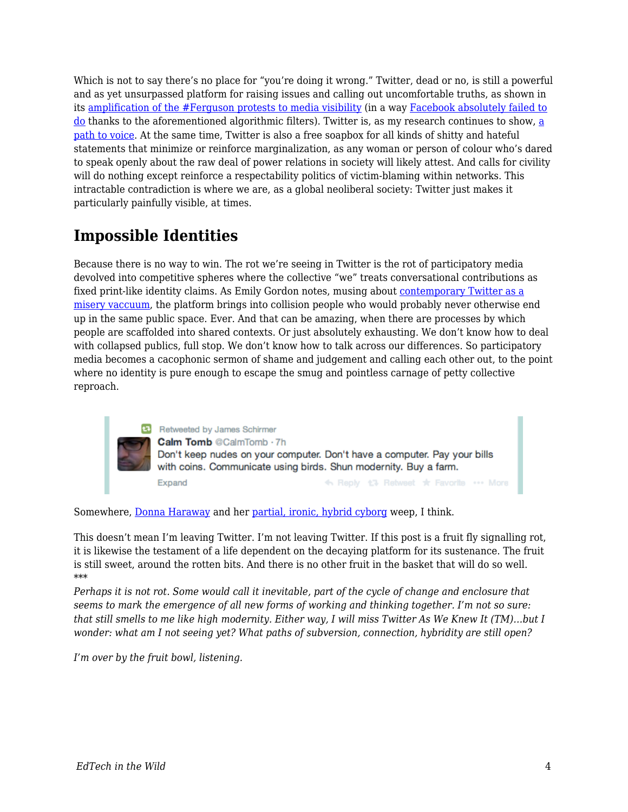Which is not to say there's no place for "you're doing it wrong." Twitter, dead or no, is still a powerful and as yet unsurpassed platform for raising issues and calling out uncomfortable truths, as shown in its [amplification of the #Ferguson protests to media visibility](https://medium.com/message/ferguson-is-also-a-net-neutrality-issue-6d2f3db51eb0) (in a way [Facebook absolutely failed to](http://www.cbc.ca/news/technology/michael-brown-s-shooting-in-ferguson-lost-on-social-media-1.2740014) [do](http://www.cbc.ca/news/technology/michael-brown-s-shooting-in-ferguson-lost-on-social-media-1.2740014) thanks to the aforementioned algorithmic filters). Twitter is, as my research continues to show, [a](http://theory.cribchronicles.com/2014/07/22/academic-influence-on-twitter-the-findings/) [path to voice](http://theory.cribchronicles.com/2014/07/22/academic-influence-on-twitter-the-findings/). At the same time, Twitter is also a free soapbox for all kinds of shitty and hateful statements that minimize or reinforce marginalization, as any woman or person of colour who's dared to speak openly about the raw deal of power relations in society will likely attest. And calls for civility will do nothing except reinforce a respectability politics of victim-blaming within networks. This intractable contradiction is where we are, as a global neoliberal society: Twitter just makes it particularly painfully visible, at times.

# **Impossible Identities**

Because there is no way to win. The rot we're seeing in Twitter is the rot of participatory media devolved into competitive spheres where the collective "we" treats conversational contributions as fixed print-like identity claims. As Emily Gordon notes, musing about [contemporary Twitter as a](http://emilyvgordon.tumblr.com/post/96097636920/twitter) [misery vaccuum](http://emilyvgordon.tumblr.com/post/96097636920/twitter), the platform brings into collision people who would probably never otherwise end up in the same public space. Ever. And that can be amazing, when there are processes by which people are scaffolded into shared contexts. Or just absolutely exhausting. We don't know how to deal with collapsed publics, full stop. We don't know how to talk across our differences. So participatory media becomes a cacophonic sermon of shame and judgement and calling each other out, to the point where no identity is pure enough to escape the smug and pointless carnage of petty collective reproach.

> Retweeted by James Schirmer Calm Tomb @CalmTomb · 7h Don't keep nudes on your computer. Don't have a computer. Pay your bills with coins. Communicate using birds. Shun modernity. Buy a farm. <h Reply <sup>+</sup> + Retweet + Favorite ... More Expand

Somewhere, [Donna Haraway](http://www.egs.edu/faculty/donna-haraway/articles/donna-haraway-a-cyborg-manifesto/) and her [partial, ironic, hybrid cyborg](http://theory.cribchronicles.com/2011/02/18/the-branded-cyborg-manifesto-identity-in-the-public-domain/) weep, I think.

This doesn't mean I'm leaving Twitter. I'm not leaving Twitter. If this post is a fruit fly signalling rot, it is likewise the testament of a life dependent on the decaying platform for its sustenance. The fruit is still sweet, around the rotten bits. And there is no other fruit in the basket that will do so well. \*\*\*

*Perhaps it is not rot. Some would call it inevitable, part of the cycle of change and enclosure that seems to mark the emergence of all new forms of working and thinking together. I'm not so sure: that still smells to me like high modernity. Either way, I will miss Twitter As We Knew It (TM)…but I wonder: what am I not seeing yet? What paths of subversion, connection, hybridity are still open?*

*I'm over by the fruit bowl, listening.*